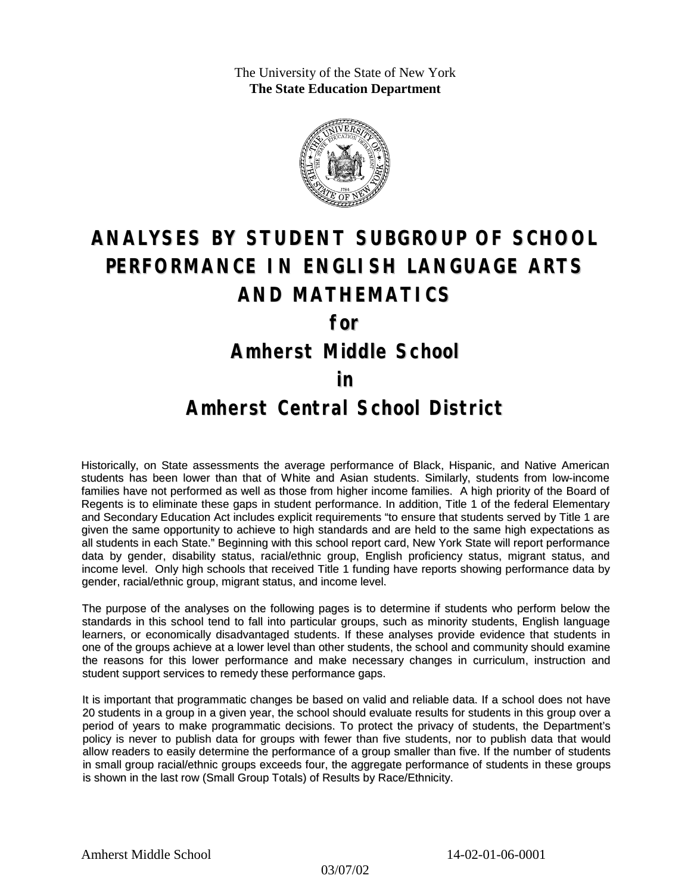The University of the State of New York **The State Education Department**



# **ANALYSES BY STUDENT SUBGROUP OF SCHOOL PERFORMANCE IN ENGLISH LANGUAGE ARTS AND MATHEMATICS**

**for**

**Amherst Middle School**

#### **in**

### **Amherst Central School District**

Historically, on State assessments the average performance of Black, Hispanic, and Native American students has been lower than that of White and Asian students. Similarly, students from low-income families have not performed as well as those from higher income families. A high priority of the Board of Regents is to eliminate these gaps in student performance. In addition, Title 1 of the federal Elementary and Secondary Education Act includes explicit requirements "to ensure that students served by Title 1 are given the same opportunity to achieve to high standards and are held to the same high expectations as all students in each State." Beginning with this school report card, New York State will report performance data by gender, disability status, racial/ethnic group, English proficiency status, migrant status, and income level. Only high schools that received Title 1 funding have reports showing performance data by gender, racial/ethnic group, migrant status, and income level.

The purpose of the analyses on the following pages is to determine if students who perform below the standards in this school tend to fall into particular groups, such as minority students, English language learners, or economically disadvantaged students. If these analyses provide evidence that students in one of the groups achieve at a lower level than other students, the school and community should examine the reasons for this lower performance and make necessary changes in curriculum, instruction and student support services to remedy these performance gaps.

It is important that programmatic changes be based on valid and reliable data. If a school does not have 20 students in a group in a given year, the school should evaluate results for students in this group over a period of years to make programmatic decisions. To protect the privacy of students, the Department's policy is never to publish data for groups with fewer than five students, nor to publish data that would allow readers to easily determine the performance of a group smaller than five. If the number of students in small group racial/ethnic groups exceeds four, the aggregate performance of students in these groups is shown in the last row (Small Group Totals) of Results by Race/Ethnicity.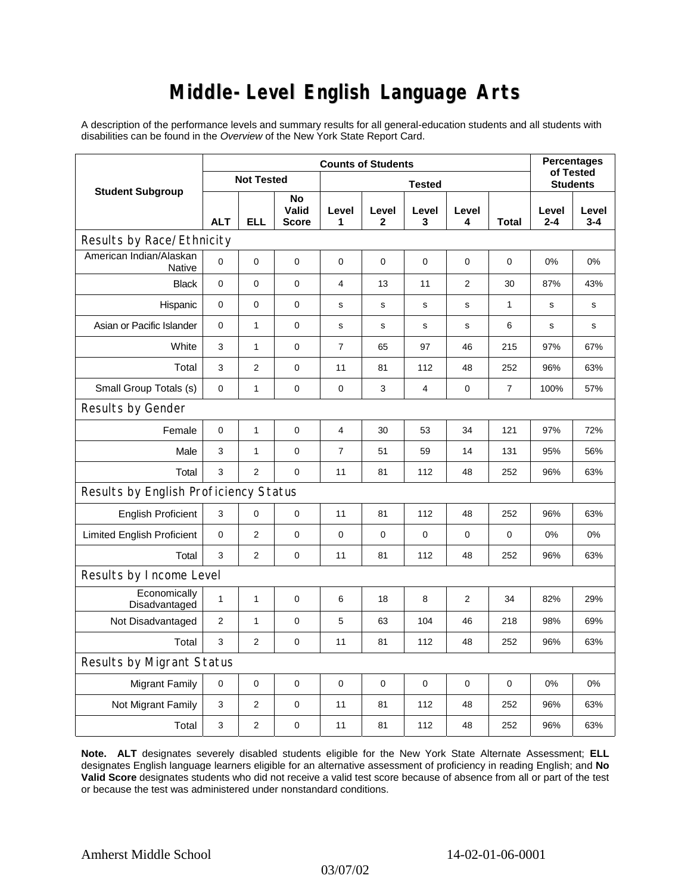# **Middle-Level English Language Arts**

A description of the performance levels and summary results for all general-education students and all students with disabilities can be found in the *Overview* of the New York State Report Card.

| <b>Student Subgroup</b>                  | <b>Counts of Students</b> |                |                             |                |             |             |                |                | <b>Percentages</b><br>of Tested |                  |  |
|------------------------------------------|---------------------------|----------------|-----------------------------|----------------|-------------|-------------|----------------|----------------|---------------------------------|------------------|--|
|                                          | <b>Not Tested</b>         |                |                             | <b>Tested</b>  |             |             |                |                | <b>Students</b>                 |                  |  |
|                                          | <b>ALT</b>                | <b>ELL</b>     | No<br>Valid<br><b>Score</b> | Level<br>1     | Level<br>2  | Level<br>3  | Level<br>4     | Total          | Level<br>$2 - 4$                | Level<br>$3 - 4$ |  |
| Results by Race/Ethnicity                |                           |                |                             |                |             |             |                |                |                                 |                  |  |
| American Indian/Alaskan<br><b>Native</b> | $\mathbf 0$               | 0              | $\pmb{0}$                   | $\mathbf 0$    | 0           | $\mathbf 0$ | 0              | 0              | 0%                              | 0%               |  |
| <b>Black</b>                             | 0                         | 0              | $\pmb{0}$                   | $\overline{4}$ | 13          | 11          | $\overline{2}$ | 30             | 87%                             | 43%              |  |
| Hispanic                                 | 0                         | 0              | 0                           | s              | $\mathbf s$ | $\mathbf s$ | s              | 1              | $\mathbf s$                     | s                |  |
| Asian or Pacific Islander                | 0                         | $\mathbf{1}$   | $\pmb{0}$                   | s              | $\mathbf s$ | s           | s              | 6              | s                               | s                |  |
| White                                    | 3                         | 1              | $\pmb{0}$                   | $\overline{7}$ | 65          | 97          | 46             | 215            | 97%                             | 67%              |  |
| Total                                    | 3                         | $\overline{2}$ | 0                           | 11             | 81          | 112         | 48             | 252            | 96%                             | 63%              |  |
| Small Group Totals (s)                   | 0                         | 1              | $\mathbf 0$                 | $\mathbf 0$    | 3           | 4           | $\pmb{0}$      | $\overline{7}$ | 100%                            | 57%              |  |
| Results by Gender                        |                           |                |                             |                |             |             |                |                |                                 |                  |  |
| Female                                   | $\pmb{0}$                 | $\mathbf{1}$   | $\mathbf 0$                 | $\overline{4}$ | 30          | 53          | 34             | 121            | 97%                             | 72%              |  |
| Male                                     | 3                         | $\mathbf{1}$   | $\mathbf 0$                 | $\overline{7}$ | 51          | 59          | 14             | 131            | 95%                             | 56%              |  |
| Total                                    | 3                         | $\overline{2}$ | 0                           | 11             | 81          | 112         | 48             | 252            | 96%                             | 63%              |  |
| Results by English Proficiency Status    |                           |                |                             |                |             |             |                |                |                                 |                  |  |
| <b>English Proficient</b>                | 3                         | 0              | $\mathbf 0$                 | 11             | 81          | 112         | 48             | 252            | 96%                             | 63%              |  |
| <b>Limited English Proficient</b>        | 0                         | $\overline{2}$ | $\pmb{0}$                   | $\mathbf 0$    | $\mathbf 0$ | 0           | 0              | 0              | 0%                              | 0%               |  |
| Total                                    | 3                         | $\overline{2}$ | 0                           | 11             | 81          | 112         | 48             | 252            | 96%                             | 63%              |  |
| Results by Income Level                  |                           |                |                             |                |             |             |                |                |                                 |                  |  |
| Economically<br>Disadvantaged            | $\mathbf{1}$              | 1              | $\mathbf 0$                 | 6              | 18          | 8           | 2              | 34             | 82%                             | 29%              |  |
| Not Disadvantaged                        | 2                         | $\mathbf{1}$   | $\mathbf 0$                 | 5              | 63          | 104         | 46             | 218            | 98%                             | 69%              |  |
| Total                                    | 3                         | 2              | 0                           | 11             | 81          | 112         | 48             | 252            | 96%                             | 63%              |  |
| Results by Migrant Status                |                           |                |                             |                |             |             |                |                |                                 |                  |  |
| <b>Migrant Family</b>                    | 0                         | 0              | $\mathbf 0$                 | $\mathbf 0$    | $\mathbf 0$ | $\mathbf 0$ | 0              | $\mathbf 0$    | 0%                              | 0%               |  |
| Not Migrant Family                       | 3                         | 2              | 0                           | 11             | 81          | 112         | 48             | 252            | 96%                             | 63%              |  |
| Total                                    | 3                         | 2              | 0                           | 11             | 81          | 112         | 48             | 252            | 96%                             | 63%              |  |

**Note. ALT** designates severely disabled students eligible for the New York State Alternate Assessment; **ELL** designates English language learners eligible for an alternative assessment of proficiency in reading English; and **No Valid Score** designates students who did not receive a valid test score because of absence from all or part of the test or because the test was administered under nonstandard conditions.